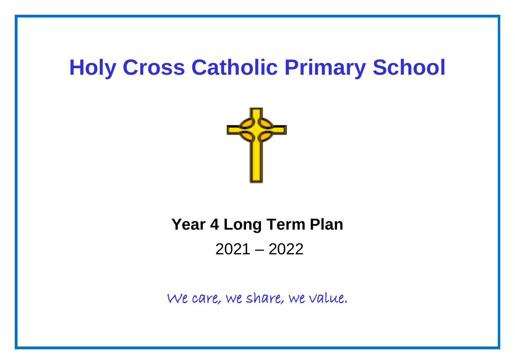## **Holy Cross Catholic Primary School**



## **Year 4 Long Term Plan**

2021 – 2022

We care, we share, we value.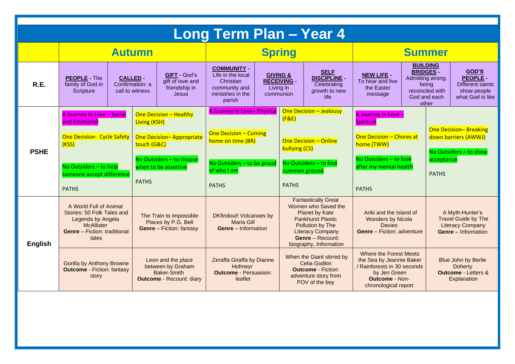| Long Term Plan - Year 4 |                                                                                                                                                                  |  |                                                                                                                                                                     |                                                                          |                                                                                                                                               |  |                                                                                                                                                                                                     |                                                                             |                                                                                                                                                       |                                     |                                                                       |                                                                                                        |
|-------------------------|------------------------------------------------------------------------------------------------------------------------------------------------------------------|--|---------------------------------------------------------------------------------------------------------------------------------------------------------------------|--------------------------------------------------------------------------|-----------------------------------------------------------------------------------------------------------------------------------------------|--|-----------------------------------------------------------------------------------------------------------------------------------------------------------------------------------------------------|-----------------------------------------------------------------------------|-------------------------------------------------------------------------------------------------------------------------------------------------------|-------------------------------------|-----------------------------------------------------------------------|--------------------------------------------------------------------------------------------------------|
|                         | <b>Autumn</b>                                                                                                                                                    |  |                                                                                                                                                                     |                                                                          | <b>Spring</b>                                                                                                                                 |  |                                                                                                                                                                                                     |                                                                             | <b>Summer</b>                                                                                                                                         |                                     |                                                                       |                                                                                                        |
| R.E.                    | <b>PEOPLE - The</b><br><b>CALLED -</b><br>Confirmation: a<br>family of God in<br>Scripture<br>call to witness                                                    |  |                                                                                                                                                                     | <b>GIFT - God's</b><br>gift of love and<br>friendship in<br><b>Jesus</b> | <b>COMMUNITY -</b><br>Life in the local<br>Christian<br>community and<br>ministries in the<br>parish                                          |  | <b>GIVING &amp;</b><br><b>RECEIVING -</b><br>Living in<br>communion                                                                                                                                 | <b>SELF</b><br><b>DISCIPLINE -</b><br>Celebrating<br>growth to new<br>life. | <b>NEW LIFE -</b><br>To hear and live<br>the Easter<br>message                                                                                        | <b>BUILDING</b><br><b>BRIDGES -</b> | Admitting wrong,<br>being<br>reconciled with<br>God and each<br>other | GOD'S<br><b>PEOPLE -</b><br><b>Different saints</b><br>show people<br>what God is like                 |
| <b>PSHE</b>             | A Journey In Love - Social<br>and Emotional<br><b>One Decision- Cycle Safety</b><br>(KSS)<br>No Outsiders - to help<br>someone accept difference<br><b>PATHS</b> |  | <b>One Decision - Healthy</b><br>Living (KSH)<br><b>One Decision-Appropriate</b><br>touch (G&C)<br>No Outsiders - to choose<br>when to be assertive<br><b>PATHS</b> |                                                                          | A Journey In Love- Physical<br><b>One Decision - Coming</b><br>home on time (BR)<br>No Outsiders - to be proud<br>of who I am<br><b>PATHS</b> |  | <b>One Decision - Jealousy</b><br>(F&E)<br><b>One Decision - Online</b><br>bullying (CS)<br>No Outsiders - to find<br>common ground<br><b>PATHS</b>                                                 |                                                                             | A Journey In Love -<br><b>Spiritual</b><br>One Decision - Chores at<br>home (TWW)<br>No Outsiders - to look<br>after my mental health<br><b>PATHS</b> |                                     | acceptance<br><b>PATHS</b>                                            | <b>One Decision-Breaking</b><br>down barriers (AWWJ)<br>No Outsiders - to show                         |
| <b>English</b>          | A World Full of Animal<br>Stories: 50 Folk Tales and<br>Legends by Angela<br><b>McAllister</b><br><b>Genre</b> - Fiction: traditional<br>tales                   |  | The Train to Impossible<br>Places by P.G. Bell<br><b>Genre</b> - Fiction: fantasy                                                                                   |                                                                          | <b>DKfindout! Volcanoes by</b><br>Maria Gill<br><b>Genre</b> – Information                                                                    |  | <b>Fantastically Great</b><br>Women who Saved the<br>Planet by Kate<br><b>Pankhurst Plastic</b><br>Pollution by The<br><b>Literacy Company</b><br><b>Genre</b> - Recount:<br>biography, Information |                                                                             | Ariki and the Island of<br><b>Wonders by Nicola</b><br><b>Davies</b><br><b>Genre</b> - Fiction: adventure                                             |                                     |                                                                       | A Myth-Hunter's<br><b>Travel Guide by The</b><br><b>Literacy Company</b><br><b>Genre</b> – Information |
|                         | <b>Gorilla by Anthony Browne</b><br><b>Outcome - Fiction: fantasy</b><br>story                                                                                   |  | Leon and the place<br>between by Graham<br>Baker-Smith<br><b>Outcome</b> - Recount: diary                                                                           |                                                                          | Zeraffa Giraffa by Dianne<br>Hofmeyr<br><b>Outcome - Persuasion:</b><br>leaflet                                                               |  | When the Giant stirred by<br>Celia Godkin<br><b>Outcome - Fiction:</b><br>adventure story from<br>POV of the boy                                                                                    |                                                                             | Where the Forest Meets<br>the Sea by Jeannie Baker<br>/ Rainforests in 30 seconds<br>by Jen Green<br><b>Outcome - Non-</b><br>chronological report    |                                     |                                                                       | Blue John by Berlie<br>Doherty<br><b>Outcome - Letters &amp;</b><br>Explanation                        |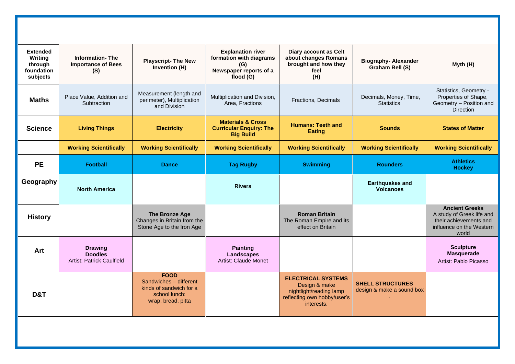| <b>Information-The</b><br><b>Importance of Bees</b><br>(S)    | <b>Playscript- The New</b><br>Invention (H)                                                             | <b>Explanation river</b><br>formation with diagrams<br>(G)<br>Newspaper reports of a<br>flood (G) | <b>Diary account as Celt</b><br>about changes Romans<br>brought and how they<br>feel<br>(H)                        | <b>Biography-Alexander</b><br>Graham Bell (S)        | Myth (H)                                                                                                          |
|---------------------------------------------------------------|---------------------------------------------------------------------------------------------------------|---------------------------------------------------------------------------------------------------|--------------------------------------------------------------------------------------------------------------------|------------------------------------------------------|-------------------------------------------------------------------------------------------------------------------|
| Place Value, Addition and<br>Subtraction                      | Measurement (length and<br>perimeter), Multiplication<br>and Division                                   | Multiplication and Division,<br>Area, Fractions                                                   | Fractions, Decimals                                                                                                | Decimals, Money, Time,<br><b>Statistics</b>          | Statistics, Geometry -<br>Properties of Shape,<br>Geometry - Position and<br><b>Direction</b>                     |
| <b>Living Things</b>                                          | <b>Electricity</b>                                                                                      | <b>Materials &amp; Cross</b><br><b>Curricular Enquiry: The</b><br><b>Big Build</b>                | <b>Humans: Teeth and</b><br><b>Eating</b>                                                                          | <b>Sounds</b>                                        | <b>States of Matter</b>                                                                                           |
| <b>Working Scientifically</b>                                 | <b>Working Scientifically</b>                                                                           | <b>Working Scientifically</b>                                                                     | <b>Working Scientifically</b>                                                                                      | <b>Working Scientifically</b>                        | <b>Working Scientifically</b>                                                                                     |
| <b>Football</b>                                               | <b>Dance</b>                                                                                            | <b>Tag Rugby</b>                                                                                  | <b>Swimming</b>                                                                                                    | <b>Rounders</b>                                      | <b>Athletics</b><br><b>Hockey</b>                                                                                 |
| <b>North America</b>                                          |                                                                                                         | <b>Rivers</b>                                                                                     |                                                                                                                    | <b>Earthquakes and</b><br><b>Volcanoes</b>           |                                                                                                                   |
|                                                               | The Bronze Age<br>Changes in Britain from the<br>Stone Age to the Iron Age                              |                                                                                                   | <b>Roman Britain</b><br>The Roman Empire and its<br>effect on Britain                                              |                                                      | <b>Ancient Greeks</b><br>A study of Greek life and<br>their achievements and<br>influence on the Western<br>world |
| <b>Drawing</b><br><b>Doodles</b><br>Artist: Patrick Caulfield |                                                                                                         | <b>Painting</b><br><b>Landscapes</b><br>Artist: Claude Monet                                      |                                                                                                                    |                                                      | <b>Sculpture</b><br><b>Masquerade</b><br>Artist: Pablo Picasso                                                    |
|                                                               | <b>FOOD</b><br>Sandwiches - different<br>kinds of sandwich for a<br>school lunch:<br>wrap, bread, pitta |                                                                                                   | <b>ELECTRICAL SYSTEMS</b><br>Design & make<br>nightlight/reading lamp<br>reflecting own hobby/user's<br>interests. | <b>SHELL STRUCTURES</b><br>design & make a sound box |                                                                                                                   |
|                                                               |                                                                                                         |                                                                                                   |                                                                                                                    |                                                      |                                                                                                                   |